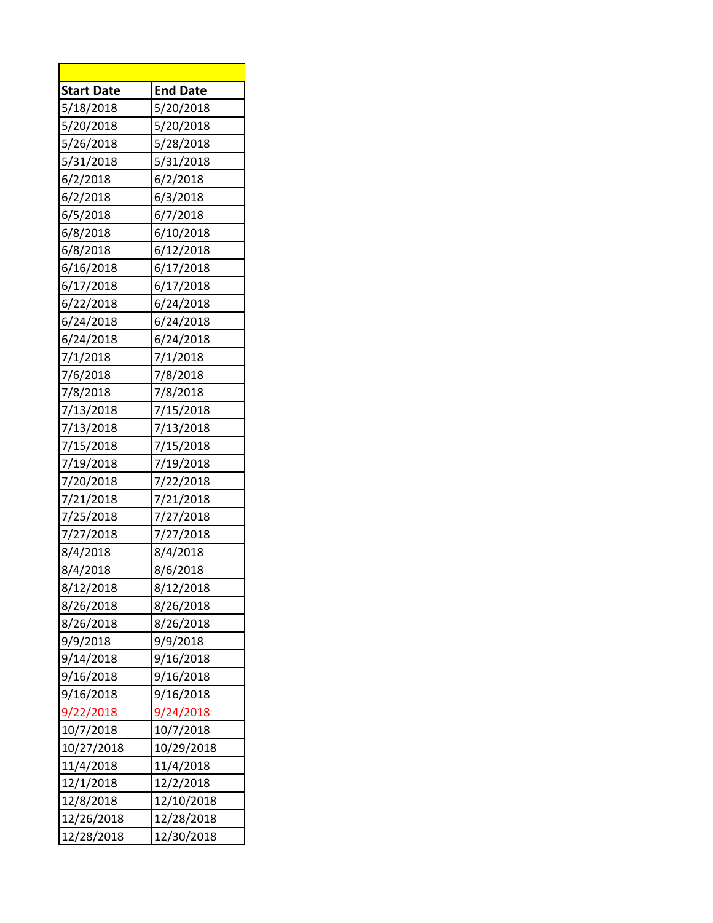| <b>Start Date</b> | <b>End Date</b> |
|-------------------|-----------------|
| 5/18/2018         | 5/20/2018       |
| 5/20/2018         | 5/20/2018       |
| 5/26/2018         | 5/28/2018       |
| 5/31/2018         | 5/31/2018       |
| 6/2/2018          | 6/2/2018        |
| 6/2/2018          | 6/3/2018        |
| 6/5/2018          | 6/7/2018        |
| 6/8/2018          | 6/10/2018       |
| 6/8/2018          | 6/12/2018       |
| 6/16/2018         | 6/17/2018       |
| 6/17/2018         | 6/17/2018       |
| 6/22/2018         | 6/24/2018       |
| 6/24/2018         | 6/24/2018       |
| 6/24/2018         | 6/24/2018       |
| 7/1/2018          | 7/1/2018        |
| 7/6/2018          | 7/8/2018        |
| 7/8/2018          | 7/8/2018        |
| 7/13/2018         | 7/15/2018       |
| 7/13/2018         | 7/13/2018       |
| 7/15/2018         | 7/15/2018       |
| 7/19/2018         | 7/19/2018       |
| 7/20/2018         | 7/22/2018       |
| 7/21/2018         | 7/21/2018       |
| 7/25/2018         | 7/27/2018       |
| 7/27/2018         | 7/27/2018       |
| 8/4/2018          | 8/4/2018        |
| 8/4/2018          | 8/6/2018        |
| 8/12/2018         | 8/12/2018       |
| 8/26/2018         | 8/26/2018       |
| 8/26/2018         | 8/26/2018       |
| 9/9/2018          | 9/9/2018        |
| 9/14/2018         | 9/16/2018       |
| 9/16/2018         | 9/16/2018       |
| 9/16/2018         | 9/16/2018       |
| 9/22/2018         | 9/24/2018       |
| 10/7/2018         | 10/7/2018       |
| 10/27/2018        | 10/29/2018      |
| 11/4/2018         | 11/4/2018       |
| 12/1/2018         | 12/2/2018       |
| 12/8/2018         | 12/10/2018      |
| 12/26/2018        | 12/28/2018      |
| 12/28/2018        | 12/30/2018      |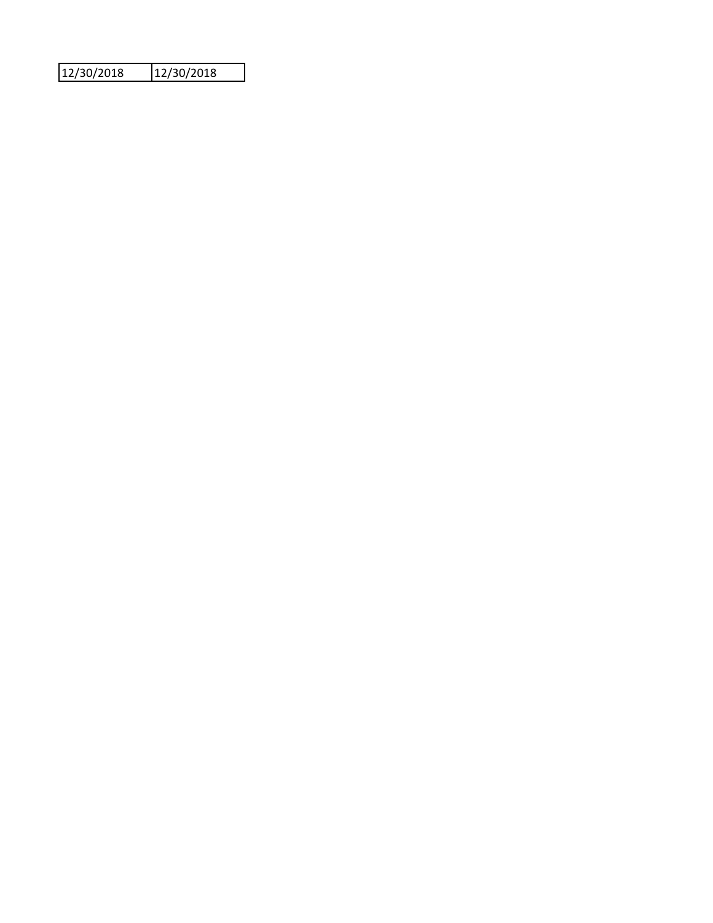| 12/30/2018 | 12/30/2018 |
|------------|------------|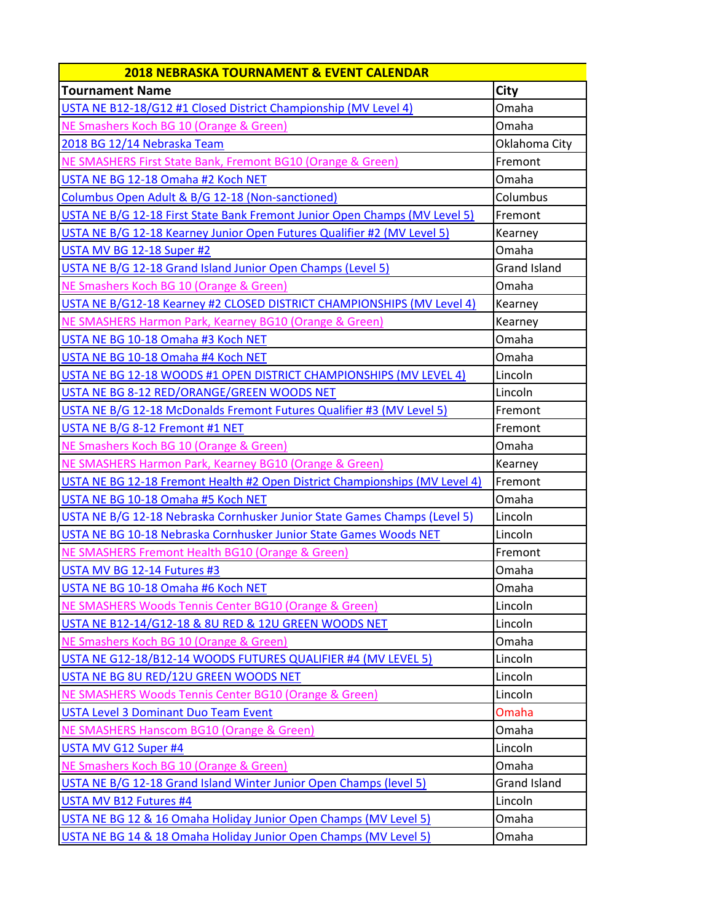| <b>2018 NEBRASKA TOURNAMENT &amp; EVENT CALENDAR</b>                        |                     |  |  |
|-----------------------------------------------------------------------------|---------------------|--|--|
| <b>Tournament Name</b>                                                      | City                |  |  |
| USTA NE B12-18/G12 #1 Closed District Championship (MV Level 4)             | Omaha               |  |  |
| NE Smashers Koch BG 10 (Orange & Green)                                     | Omaha               |  |  |
| 2018 BG 12/14 Nebraska Team                                                 | Oklahoma City       |  |  |
| NE SMASHERS First State Bank, Fremont BG10 (Orange & Green)                 | Fremont             |  |  |
| USTA NE BG 12-18 Omaha #2 Koch NET                                          | Omaha               |  |  |
| Columbus Open Adult & B/G 12-18 (Non-sanctioned)                            | Columbus            |  |  |
| USTA NE B/G 12-18 First State Bank Fremont Junior Open Champs (MV Level 5)  | Fremont             |  |  |
| USTA NE B/G 12-18 Kearney Junior Open Futures Qualifier #2 (MV Level 5)     | Kearney             |  |  |
| USTA MV BG 12-18 Super #2                                                   | Omaha               |  |  |
| USTA NE B/G 12-18 Grand Island Junior Open Champs (Level 5)                 | <b>Grand Island</b> |  |  |
| NE Smashers Koch BG 10 (Orange & Green)                                     | Omaha               |  |  |
| USTA NE B/G12-18 Kearney #2 CLOSED DISTRICT CHAMPIONSHIPS (MV Level 4)      | Kearney             |  |  |
| NE SMASHERS Harmon Park, Kearney BG10 (Orange & Green)                      | Kearney             |  |  |
| USTA NE BG 10-18 Omaha #3 Koch NET                                          | Omaha               |  |  |
| USTA NE BG 10-18 Omaha #4 Koch NET                                          | Omaha               |  |  |
| USTA NE BG 12-18 WOODS #1 OPEN DISTRICT CHAMPIONSHIPS (MV LEVEL 4)          | Lincoln             |  |  |
| USTA NE BG 8-12 RED/ORANGE/GREEN WOODS NET                                  | Lincoln             |  |  |
| USTA NE B/G 12-18 McDonalds Fremont Futures Qualifier #3 (MV Level 5)       | Fremont             |  |  |
| USTA NE B/G 8-12 Fremont #1 NET                                             | Fremont             |  |  |
| NE Smashers Koch BG 10 (Orange & Green)                                     | Omaha               |  |  |
| NE SMASHERS Harmon Park, Kearney BG10 (Orange & Green)                      | Kearney             |  |  |
| USTA NE BG 12-18 Fremont Health #2 Open District Championships (MV Level 4) | Fremont             |  |  |
| USTA NE BG 10-18 Omaha #5 Koch NET                                          | Omaha               |  |  |
| USTA NE B/G 12-18 Nebraska Cornhusker Junior State Games Champs (Level 5)   | Lincoln             |  |  |
| USTA NE BG 10-18 Nebraska Cornhusker Junior State Games Woods NET           | Lincoln             |  |  |
| NE SMASHERS Fremont Health BG10 (Orange & Green)                            | Fremont             |  |  |
| USTA MV BG 12-14 Futures #3                                                 | Omaha               |  |  |
| USTA NE BG 10-18 Omaha #6 Koch NET                                          | Omaha               |  |  |
| NE SMASHERS Woods Tennis Center BG10 (Orange & Green)                       | Lincoln             |  |  |
| USTA NE B12-14/G12-18 & 8U RED & 12U GREEN WOODS NET                        | Lincoln             |  |  |
| NE Smashers Koch BG 10 (Orange & Green)                                     | Omaha               |  |  |
| USTA NE G12-18/B12-14 WOODS FUTURES QUALIFIER #4 (MV LEVEL 5)               | Lincoln             |  |  |
| USTA NE BG 8U RED/12U GREEN WOODS NET                                       | Lincoln             |  |  |
| NE SMASHERS Woods Tennis Center BG10 (Orange & Green)                       | Lincoln             |  |  |
| <b>USTA Level 3 Dominant Duo Team Event</b>                                 | <b>Omaha</b>        |  |  |
| NE SMASHERS Hanscom BG10 (Orange & Green)                                   | Omaha               |  |  |
| USTA MV G12 Super #4                                                        | Lincoln             |  |  |
| NE Smashers Koch BG 10 (Orange & Green)                                     | Omaha               |  |  |
| USTA NE B/G 12-18 Grand Island Winter Junior Open Champs (level 5)          | <b>Grand Island</b> |  |  |
| USTA MV B12 Futures #4                                                      | Lincoln             |  |  |
| USTA NE BG 12 & 16 Omaha Holiday Junior Open Champs (MV Level 5)            | Omaha               |  |  |
| USTA NE BG 14 & 18 Omaha Holiday Junior Open Champs (MV Level 5)            | Omaha               |  |  |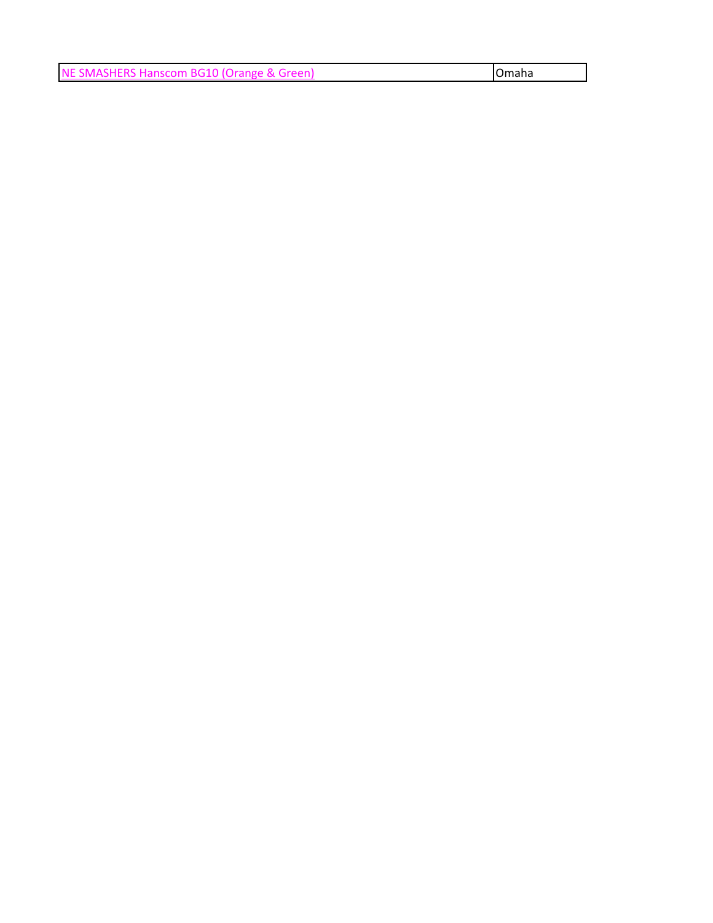|  |  |  | $\sim$<br><b>I</b> Omaha |
|--|--|--|--------------------------|
|--|--|--|--------------------------|